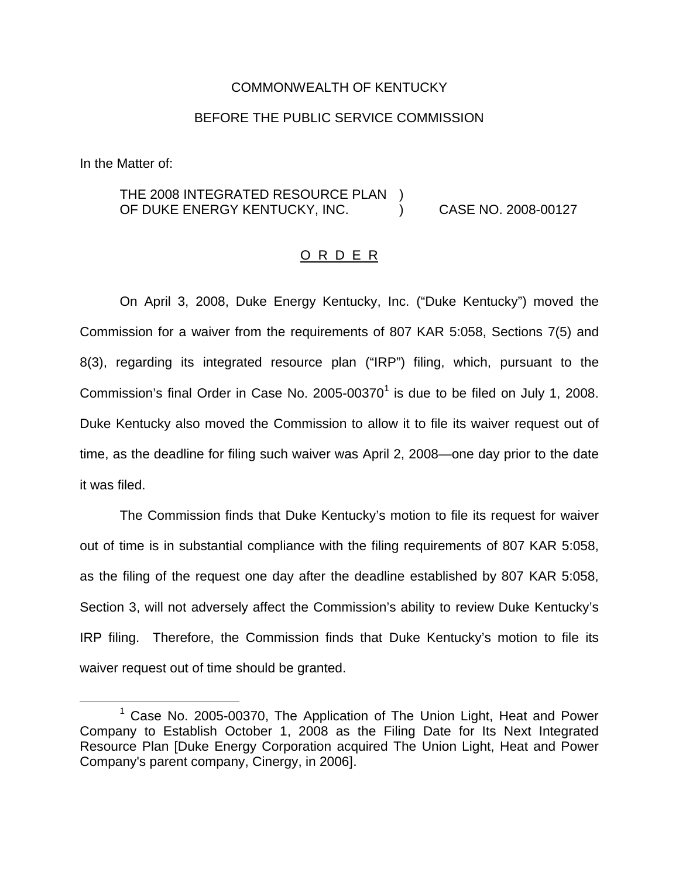## COMMONWEALTH OF KENTUCKY

## BEFORE THE PUBLIC SERVICE COMMISSION

In the Matter of:

## THE 2008 INTEGRATED RESOURCE PLAN ) OF DUKE ENERGY KENTUCKY, INC. (2008-00127) CASE NO. 2008-00127

## O R D E R

On April 3, 2008, Duke Energy Kentucky, Inc. ("Duke Kentucky") moved the Commission for a waiver from the requirements of 807 KAR 5:058, Sections 7(5) and 8(3), regarding its integrated resource plan ("IRP") filing, which, pursuant to the Commission's final Order in Case No.  $2005-00370<sup>1</sup>$  is due to be filed on July 1, 2008. Duke Kentucky also moved the Commission to allow it to file its waiver request out of time, as the deadline for filing such waiver was April 2, 2008—one day prior to the date it was filed.

The Commission finds that Duke Kentucky's motion to file its request for waiver out of time is in substantial compliance with the filing requirements of 807 KAR 5:058, as the filing of the request one day after the deadline established by 807 KAR 5:058, Section 3, will not adversely affect the Commission's ability to review Duke Kentucky's IRP filing. Therefore, the Commission finds that Duke Kentucky's motion to file its waiver request out of time should be granted.

 $1$  Case No. 2005-00370, The Application of The Union Light, Heat and Power Company to Establish October 1, 2008 as the Filing Date for Its Next Integrated Resource Plan [Duke Energy Corporation acquired The Union Light, Heat and Power Company's parent company, Cinergy, in 2006].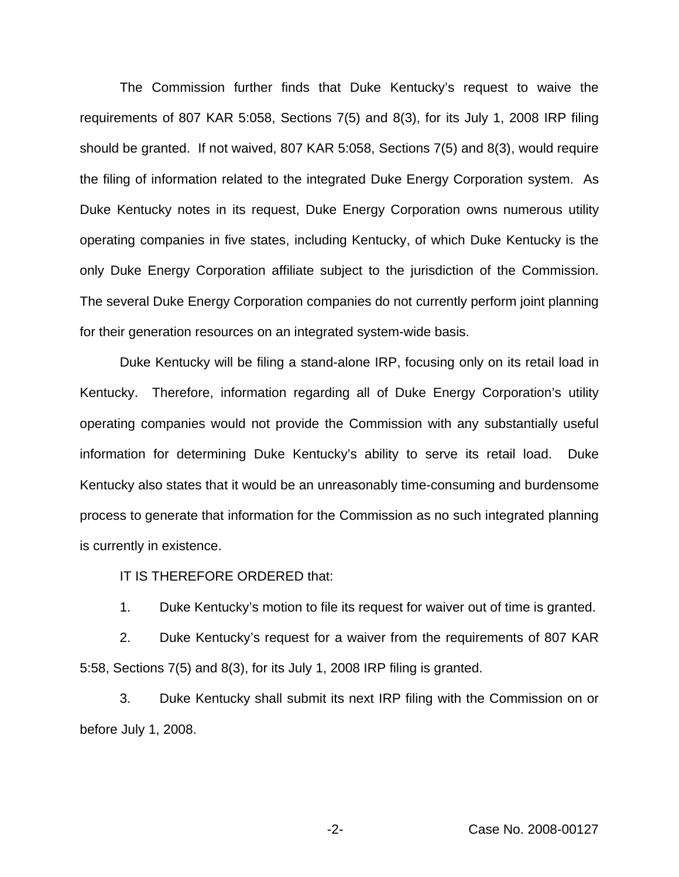The Commission further finds that Duke Kentucky's request to waive the requirements of 807 KAR 5:058, Sections 7(5) and 8(3), for its July 1, 2008 IRP filing should be granted. If not waived, 807 KAR 5:058, Sections 7(5) and 8(3), would require the filing of information related to the integrated Duke Energy Corporation system. As Duke Kentucky notes in its request, Duke Energy Corporation owns numerous utility operating companies in five states, including Kentucky, of which Duke Kentucky is the only Duke Energy Corporation affiliate subject to the jurisdiction of the Commission. The several Duke Energy Corporation companies do not currently perform joint planning for their generation resources on an integrated system-wide basis.

Duke Kentucky will be filing a stand-alone IRP, focusing only on its retail load in Kentucky. Therefore, information regarding all of Duke Energy Corporation's utility operating companies would not provide the Commission with any substantially useful information for determining Duke Kentucky's ability to serve its retail load. Duke Kentucky also states that it would be an unreasonably time-consuming and burdensome process to generate that information for the Commission as no such integrated planning is currently in existence.

IT IS THEREFORE ORDERED that:

1. Duke Kentucky's motion to file its request for waiver out of time is granted.

2. Duke Kentucky's request for a waiver from the requirements of 807 KAR 5:58, Sections 7(5) and 8(3), for its July 1, 2008 IRP filing is granted.

3. Duke Kentucky shall submit its next IRP filing with the Commission on or before July 1, 2008.